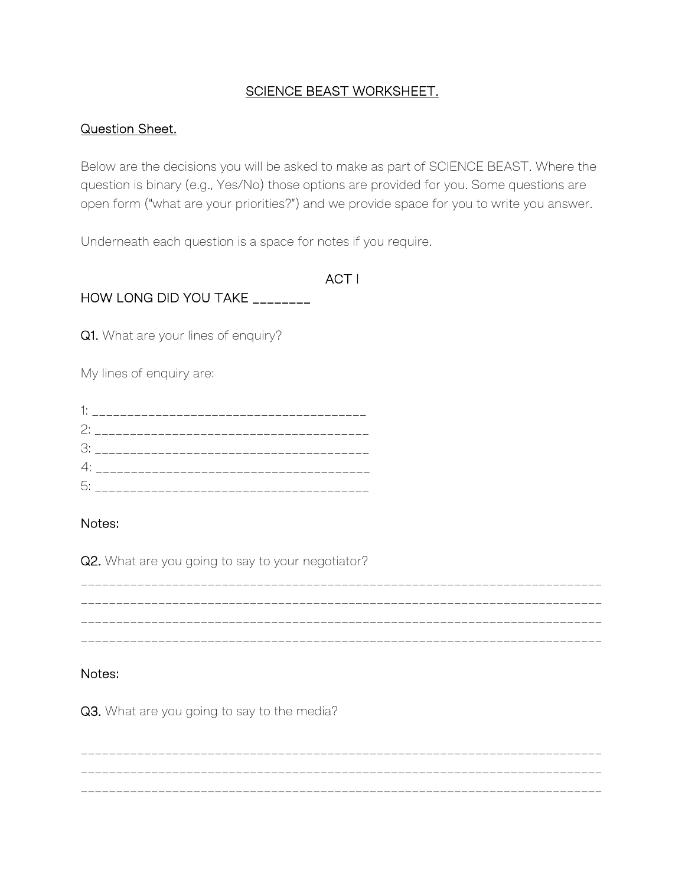### SCIENCE BEAST WORKSHEET.

#### Question Sheet.

Below are the decisions you will be asked to make as part of SCIENCE BEAST. Where the question is binary (e.g., Yes/No) those options are provided for you. Some questions are open form ("what are your priorities?") and we provide space for you to write you answer.

Underneath each question is a space for notes if you require.

ACT I

HOW LONG DID YOU TAKE \_\_\_\_\_\_\_\_

Q1. What are your lines of enquiry?

My lines of enquiry are:

| 5: |  |  |  |
|----|--|--|--|

### Notes:

Q2. What are you going to say to your negotiator?

\_\_\_\_\_\_\_\_\_\_\_\_\_\_\_\_\_\_\_\_\_\_\_\_\_\_\_\_\_\_\_\_\_\_\_\_\_\_\_\_\_\_\_\_\_\_\_\_\_\_\_\_\_\_\_\_\_\_\_\_\_\_\_\_\_\_\_\_\_\_\_\_\_\_ \_\_\_\_\_\_\_\_\_\_\_\_\_\_\_\_\_\_\_\_\_\_\_\_\_\_\_\_\_\_\_\_\_\_\_\_\_\_\_\_\_\_\_\_\_\_\_\_\_\_\_\_\_\_\_\_\_\_\_\_\_\_\_\_\_\_\_\_\_\_\_\_\_\_ \_\_\_\_\_\_\_\_\_\_\_\_\_\_\_\_\_\_\_\_\_\_\_\_\_\_\_\_\_\_\_\_\_\_\_\_\_\_\_\_\_\_\_\_\_\_\_\_\_\_\_\_\_\_\_\_\_\_\_\_\_\_\_\_\_\_\_\_\_\_\_\_\_\_ \_\_\_\_\_\_\_\_\_\_\_\_\_\_\_\_\_\_\_\_\_\_\_\_\_\_\_\_\_\_\_\_\_\_\_\_\_\_\_\_\_\_\_\_\_\_\_\_\_\_\_\_\_\_\_\_\_\_\_\_\_\_\_\_\_\_\_\_\_\_\_\_\_\_

### Notes:

Q3. What are you going to say to the media?

\_\_\_\_\_\_\_\_\_\_\_\_\_\_\_\_\_\_\_\_\_\_\_\_\_\_\_\_\_\_\_\_\_\_\_\_\_\_\_\_\_\_\_\_\_\_\_\_\_\_\_\_\_\_\_\_\_\_\_\_\_\_\_\_\_\_\_\_\_\_\_\_\_\_ \_\_\_\_\_\_\_\_\_\_\_\_\_\_\_\_\_\_\_\_\_\_\_\_\_\_\_\_\_\_\_\_\_\_\_\_\_\_\_\_\_\_\_\_\_\_\_\_\_\_\_\_\_\_\_\_\_\_\_\_\_\_\_\_\_\_\_\_\_\_\_\_\_\_ \_\_\_\_\_\_\_\_\_\_\_\_\_\_\_\_\_\_\_\_\_\_\_\_\_\_\_\_\_\_\_\_\_\_\_\_\_\_\_\_\_\_\_\_\_\_\_\_\_\_\_\_\_\_\_\_\_\_\_\_\_\_\_\_\_\_\_\_\_\_\_\_\_\_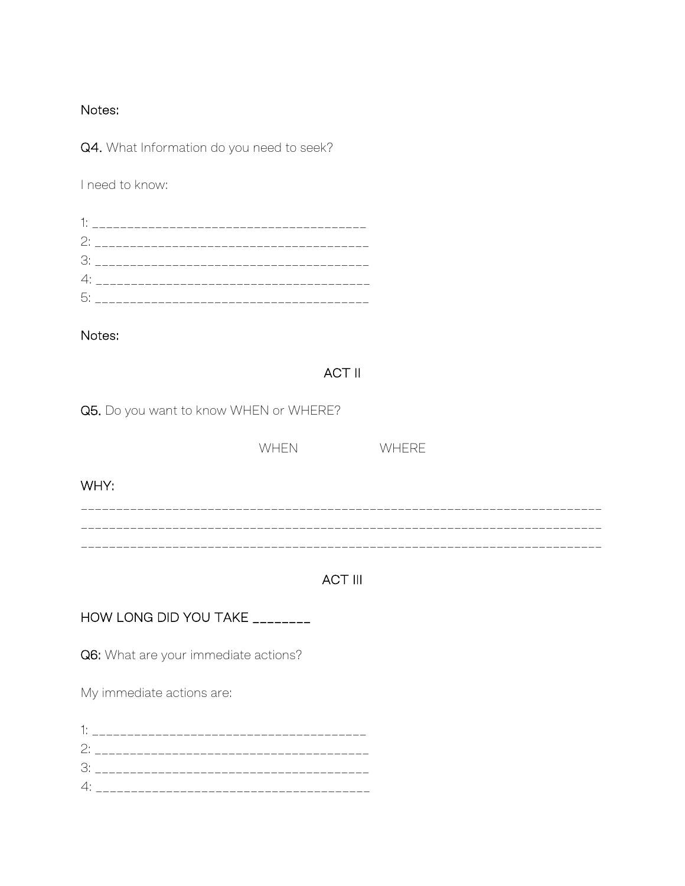#### Notes:

Q4. What Information do you need to seek?

I need to know:

Notes:

# **ACT II**

Q5. Do you want to know WHEN or WHERE?

|      | <b>WHEN</b> | WHERE |
|------|-------------|-------|
| WHY: |             |       |
|      |             |       |

# **ACT III**

HOW LONG DID YOU TAKE \_\_\_\_\_\_\_\_

Q6: What are your immediate actions?

My immediate actions are:

| 2: _______ |  |  |
|------------|--|--|
| 3          |  |  |
| 4:         |  |  |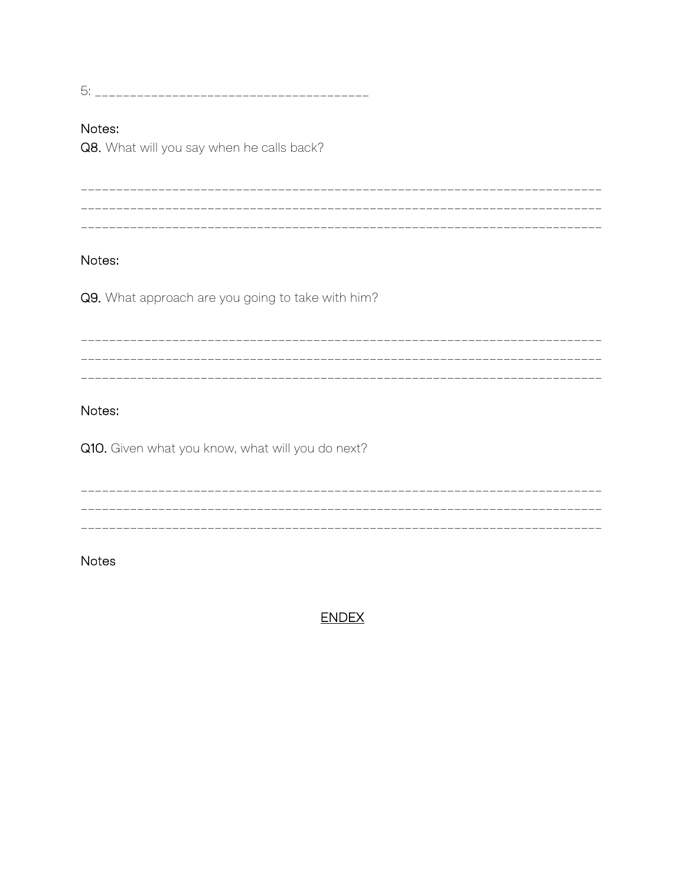#### Notes:

Q8. What will you say when he calls back?

\_\_\_\_\_\_\_\_\_\_\_\_\_\_\_\_\_\_ \_\_\_\_\_\_\_\_\_\_\_\_\_\_\_\_\_\_\_\_\_\_\_\_\_\_\_\_\_\_\_\_\_\_\_\_\_ 

# Notes:

Q9. What approach are you going to take with him?

# Notes:

Q10. Given what you know, what will you do next?

**Notes** 

**ENDEX**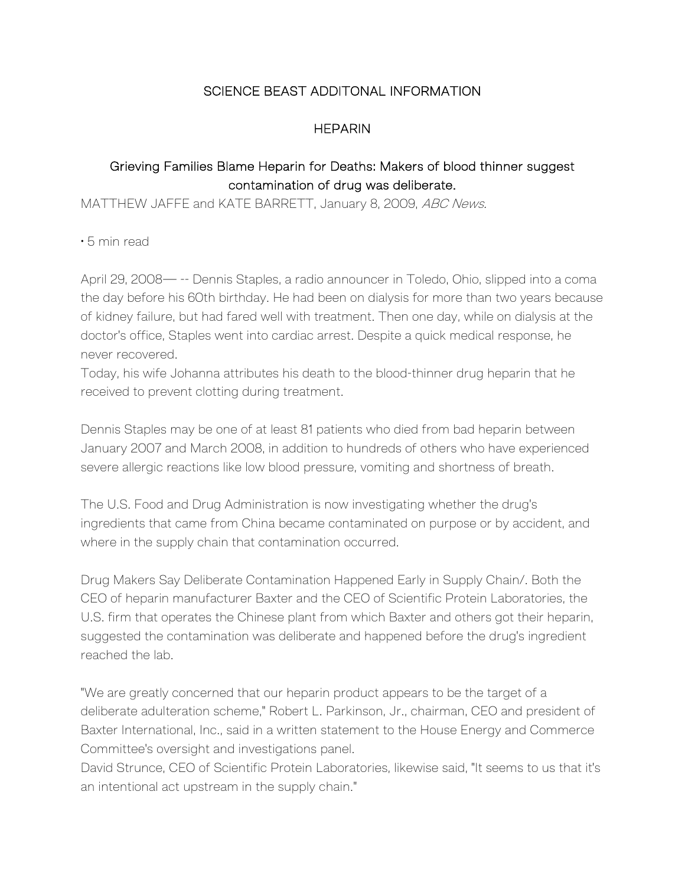# SCIENCE BEAST ADDITONAL INFORMATION

### **HEPARIN**

# Grieving Families Blame Heparin for Deaths: Makers of blood thinner suggest contamination of drug was deliberate.

MATTHEW JAFFE and KATE BARRETT, January 8, 2009, ABC News.

• 5 min read

April 29, 2008— -- Dennis Staples, a radio announcer in Toledo, Ohio, slipped into a coma the day before his 60th birthday. He had been on dialysis for more than two years because of kidney failure, but had fared well with treatment. Then one day, while on dialysis at the doctor's office, Staples went into cardiac arrest. Despite a quick medical response, he never recovered.

Today, his wife Johanna attributes his death to the blood-thinner drug heparin that he received to prevent clotting during treatment.

Dennis Staples may be one of at least 81 patients who died from bad heparin between January 2007 and March 2008, in addition to hundreds of others who have experienced severe allergic reactions like low blood pressure, vomiting and shortness of breath.

The U.S. Food and Drug Administration is now investigating whether the drug's ingredients that came from China became contaminated on purpose or by accident, and where in the supply chain that contamination occurred.

Drug Makers Say Deliberate Contamination Happened Early in Supply Chain/. Both the CEO of heparin manufacturer Baxter and the CEO of Scientific Protein Laboratories, the U.S. firm that operates the Chinese plant from which Baxter and others got their heparin, suggested the contamination was deliberate and happened before the drug's ingredient reached the lab.

"We are greatly concerned that our heparin product appears to be the target of a deliberate adulteration scheme," Robert L. Parkinson, Jr., chairman, CEO and president of Baxter International, Inc., said in a written statement to the House Energy and Commerce Committee's oversight and investigations panel.

David Strunce, CEO of Scientific Protein Laboratories, likewise said, "It seems to us that it's an intentional act upstream in the supply chain."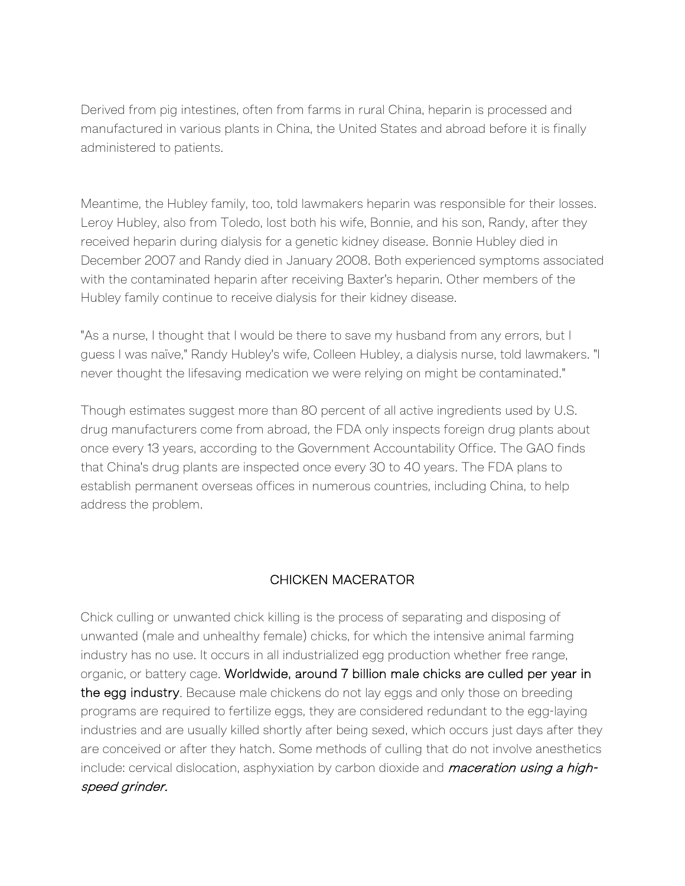Derived from pig intestines, often from farms in rural China, heparin is processed and manufactured in various plants in China, the United States and abroad before it is finally administered to patients.

Meantime, the Hubley family, too, told lawmakers heparin was responsible for their losses. Leroy Hubley, also from Toledo, lost both his wife, Bonnie, and his son, Randy, after they received heparin during dialysis for a genetic kidney disease. Bonnie Hubley died in December 2007 and Randy died in January 2008. Both experienced symptoms associated with the contaminated heparin after receiving Baxter's heparin. Other members of the Hubley family continue to receive dialysis for their kidney disease.

"As a nurse, I thought that I would be there to save my husband from any errors, but I guess I was naïve," Randy Hubley's wife, Colleen Hubley, a dialysis nurse, told lawmakers. "I never thought the lifesaving medication we were relying on might be contaminated."

Though estimates suggest more than 80 percent of all active ingredients used by U.S. drug manufacturers come from abroad, the FDA only inspects foreign drug plants about once every 13 years, according to the Government Accountability Office. The GAO finds that China's drug plants are inspected once every 30 to 40 years. The FDA plans to establish permanent overseas offices in numerous countries, including China, to help address the problem.

# CHICKEN MACERATOR

Chick culling or unwanted chick killing is the process of separating and disposing of unwanted (male and unhealthy female) chicks, for which the intensive animal farming industry has no use. It occurs in all industrialized egg production whether free range, organic, or battery cage. Worldwide, around 7 billion male chicks are culled per year in the egg industry. Because male chickens do not lay eggs and only those on breeding programs are required to fertilize eggs, they are considered redundant to the egg-laying industries and are usually killed shortly after being sexed, which occurs just days after they are conceived or after they hatch. Some methods of culling that do not involve anesthetics include: cervical dislocation, asphyxiation by carbon dioxide and *maceration using a high*speed grinder.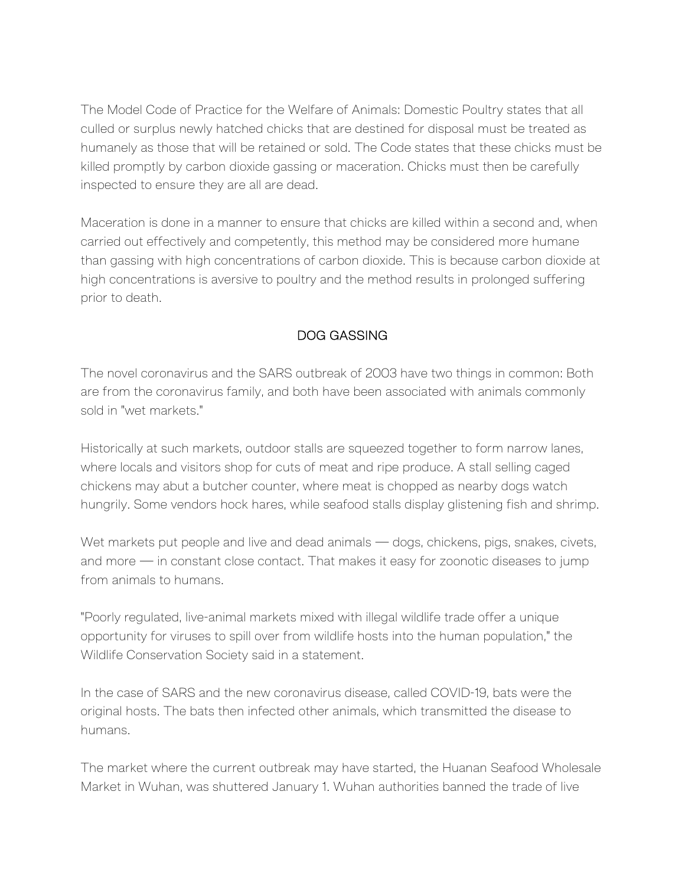The Model Code of Practice for the Welfare of Animals: Domestic Poultry states that all culled or surplus newly hatched chicks that are destined for disposal must be treated as humanely as those that will be retained or sold. The Code states that these chicks must be killed promptly by carbon dioxide gassing or maceration. Chicks must then be carefully inspected to ensure they are all are dead.

Maceration is done in a manner to ensure that chicks are killed within a second and, when carried out effectively and competently, this method may be considered more humane than gassing with high concentrations of carbon dioxide. This is because carbon dioxide at high concentrations is aversive to poultry and the method results in prolonged suffering prior to death.

# DOG GASSING

The novel coronavirus and the SARS outbreak of 2003 have two things in common: Both are from the coronavirus family, and both have been associated with animals commonly sold in "wet markets."

Historically at such markets, outdoor stalls are squeezed together to form narrow lanes, where locals and visitors shop for cuts of meat and ripe produce. A stall selling caged chickens may abut a butcher counter, where meat is chopped as nearby dogs watch hungrily. Some vendors hock hares, while seafood stalls display glistening fish and shrimp.

Wet markets put people and live and dead animals — dogs, chickens, pigs, snakes, civets, and more — in constant close contact. That makes it easy for zoonotic diseases to jump from animals to humans.

"Poorly regulated, live-animal markets mixed with illegal wildlife trade offer a unique opportunity for viruses to spill over from wildlife hosts into the human population," the Wildlife Conservation Society said in a statement.

In the case of SARS and the new coronavirus disease, called COVID-19, bats were the original hosts. The bats then infected other animals, which transmitted the disease to humans.

The market where the current outbreak may have started, the Huanan Seafood Wholesale Market in Wuhan, was shuttered January 1. Wuhan authorities banned the trade of live